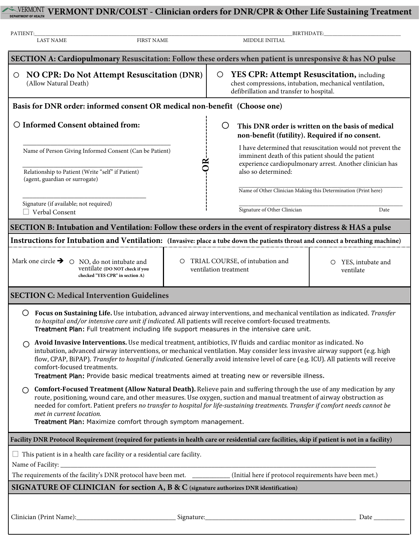# **WERMONT WERMONT DNR/COLST** - Clinician orders for DNR/CPR & Other Life Sustaining Treatment

| PATIENT:<br><b>LAST NAME</b>                                                                                                                                                                                                                                                                                                                                                                                                                                                                                           | <b>FIRST NAME</b>                                                                | BIRTHDATE:<br>MIDDLE INITIAL                                                                                                                                |                                                                                                                                                                             |  |  |  |  |  |  |
|------------------------------------------------------------------------------------------------------------------------------------------------------------------------------------------------------------------------------------------------------------------------------------------------------------------------------------------------------------------------------------------------------------------------------------------------------------------------------------------------------------------------|----------------------------------------------------------------------------------|-------------------------------------------------------------------------------------------------------------------------------------------------------------|-----------------------------------------------------------------------------------------------------------------------------------------------------------------------------|--|--|--|--|--|--|
|                                                                                                                                                                                                                                                                                                                                                                                                                                                                                                                        |                                                                                  | SECTION A: Cardiopulmonary Resuscitation: Follow these orders when patient is unresponsive & has NO pulse                                                   |                                                                                                                                                                             |  |  |  |  |  |  |
| NO CPR: Do Not Attempt Resuscitation (DNR)<br>$\circ$<br>(Allow Natural Death)                                                                                                                                                                                                                                                                                                                                                                                                                                         |                                                                                  | YES CPR: Attempt Resuscitation, including<br>$\circ$<br>chest compressions, intubation, mechanical ventilation,<br>defibrillation and transfer to hospital. |                                                                                                                                                                             |  |  |  |  |  |  |
| Basis for DNR order: informed consent OR medical non-benefit (Choose one)                                                                                                                                                                                                                                                                                                                                                                                                                                              |                                                                                  |                                                                                                                                                             |                                                                                                                                                                             |  |  |  |  |  |  |
| O Informed Consent obtained from:                                                                                                                                                                                                                                                                                                                                                                                                                                                                                      |                                                                                  | O<br>This DNR order is written on the basis of medical<br>non-benefit (futility). Required if no consent.                                                   |                                                                                                                                                                             |  |  |  |  |  |  |
|                                                                                                                                                                                                                                                                                                                                                                                                                                                                                                                        | Name of Person Giving Informed Consent (Can be Patient)                          |                                                                                                                                                             | I have determined that resuscitation would not prevent the<br>imminent death of this patient should the patient<br>experience cardiopulmonary arrest. Another clinician has |  |  |  |  |  |  |
| Relationship to Patient (Write "self" if Patient)<br>(agent, guardian or surrogate)                                                                                                                                                                                                                                                                                                                                                                                                                                    |                                                                                  | also so determined:                                                                                                                                         |                                                                                                                                                                             |  |  |  |  |  |  |
| Signature (if available; not required)                                                                                                                                                                                                                                                                                                                                                                                                                                                                                 |                                                                                  |                                                                                                                                                             | Name of Other Clinician Making this Determination (Print here)                                                                                                              |  |  |  |  |  |  |
| $\Box$ Verbal Consent                                                                                                                                                                                                                                                                                                                                                                                                                                                                                                  |                                                                                  |                                                                                                                                                             | Date                                                                                                                                                                        |  |  |  |  |  |  |
| SECTION B: Intubation and Ventilation: Follow these orders in the event of respiratory distress & HAS a pulse                                                                                                                                                                                                                                                                                                                                                                                                          |                                                                                  |                                                                                                                                                             |                                                                                                                                                                             |  |  |  |  |  |  |
| Instructions for Intubation and Ventilation: (Invasive: place a tube down the patients throat and connect a breathing machine)                                                                                                                                                                                                                                                                                                                                                                                         |                                                                                  |                                                                                                                                                             |                                                                                                                                                                             |  |  |  |  |  |  |
| Mark one circle $\rightarrow$ $\circ$ NO, do not intubate and                                                                                                                                                                                                                                                                                                                                                                                                                                                          | $\circ$<br>ventilate (DO NOT check if you<br>checked "YES CPR" in section A)     | TRIAL COURSE, of intubation and<br>O YES, intubate and<br>ventilation treatment<br>ventilate                                                                |                                                                                                                                                                             |  |  |  |  |  |  |
| <b>SECTION C: Medical Intervention Guidelines</b>                                                                                                                                                                                                                                                                                                                                                                                                                                                                      |                                                                                  |                                                                                                                                                             |                                                                                                                                                                             |  |  |  |  |  |  |
| Focus on Sustaining Life. Use intubation, advanced airway interventions, and mechanical ventilation as indicated. Transfer<br>O<br>to hospital and/or intensive care unit if indicated. All patients will receive comfort-focused treatments.<br>Treatment Plan: Full treatment including life support measures in the intensive care unit.                                                                                                                                                                            |                                                                                  |                                                                                                                                                             |                                                                                                                                                                             |  |  |  |  |  |  |
| Avoid Invasive Interventions. Use medical treatment, antibiotics, IV fluids and cardiac monitor as indicated. No<br>intubation, advanced airway interventions, or mechanical ventilation. May consider less invasive airway support (e.g. high<br>flow, CPAP, BiPAP). Transfer to hospital if indicated. Generally avoid intensive level of care (e.g. ICU). All patients will receive<br>comfort-focused treatments.<br>Treatment Plan: Provide basic medical treatments aimed at treating new or reversible illness. |                                                                                  |                                                                                                                                                             |                                                                                                                                                                             |  |  |  |  |  |  |
| Comfort-Focused Treatment (Allow Natural Death). Relieve pain and suffering through the use of any medication by any<br>◯<br>route, positioning, wound care, and other measures. Use oxygen, suction and manual treatment of airway obstruction as<br>needed for comfort. Patient prefers no transfer to hospital for life-sustaining treatments. Transfer if comfort needs cannot be<br>met in current location.<br>Treatment Plan: Maximize comfort through symptom management.                                      |                                                                                  |                                                                                                                                                             |                                                                                                                                                                             |  |  |  |  |  |  |
|                                                                                                                                                                                                                                                                                                                                                                                                                                                                                                                        |                                                                                  |                                                                                                                                                             |                                                                                                                                                                             |  |  |  |  |  |  |
|                                                                                                                                                                                                                                                                                                                                                                                                                                                                                                                        |                                                                                  | Facility DNR Protocol Requirement (required for patients in health care or residential care facilities, skip if patient is not in a facility)               |                                                                                                                                                                             |  |  |  |  |  |  |
|                                                                                                                                                                                                                                                                                                                                                                                                                                                                                                                        | $\Box$ This patient is in a health care facility or a residential care facility. |                                                                                                                                                             |                                                                                                                                                                             |  |  |  |  |  |  |
|                                                                                                                                                                                                                                                                                                                                                                                                                                                                                                                        |                                                                                  |                                                                                                                                                             |                                                                                                                                                                             |  |  |  |  |  |  |
| SIGNATURE OF CLINICIAN for section A, B & C (signature authorizes DNR identification)                                                                                                                                                                                                                                                                                                                                                                                                                                  |                                                                                  |                                                                                                                                                             |                                                                                                                                                                             |  |  |  |  |  |  |
| Clinician (Print Name):                                                                                                                                                                                                                                                                                                                                                                                                                                                                                                | Signature:                                                                       |                                                                                                                                                             | Date                                                                                                                                                                        |  |  |  |  |  |  |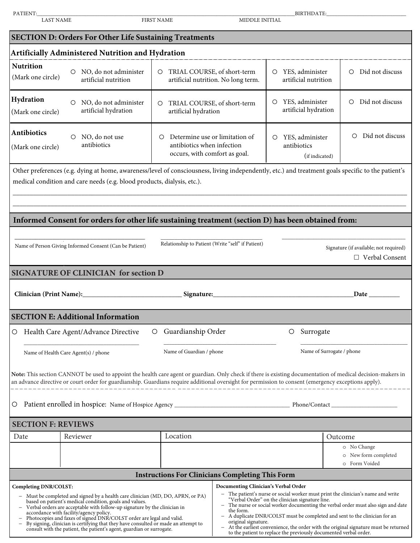| PATIENT:<br><b>LAST NAME</b>                                                                                                                                                                                                                                                                                                                                                                                                                                                                                                                                                                                                                                                                                                                                                                                                                                                                                                                                                                                                                                                                             |                                                                                                     | <b>FIRST NAME</b>        |                                                                                               | BIRTHDATE: THE CONTROL OF THE CONTROL OF THE CONTROL OF THE CONTROL OF THE CONTROL OF THE CONTROL OF THE CONTR<br>MIDDLE INITIAL |                           |                                                      |                            |  |  |  |
|----------------------------------------------------------------------------------------------------------------------------------------------------------------------------------------------------------------------------------------------------------------------------------------------------------------------------------------------------------------------------------------------------------------------------------------------------------------------------------------------------------------------------------------------------------------------------------------------------------------------------------------------------------------------------------------------------------------------------------------------------------------------------------------------------------------------------------------------------------------------------------------------------------------------------------------------------------------------------------------------------------------------------------------------------------------------------------------------------------|-----------------------------------------------------------------------------------------------------|--------------------------|-----------------------------------------------------------------------------------------------|----------------------------------------------------------------------------------------------------------------------------------|---------------------------|------------------------------------------------------|----------------------------|--|--|--|
| <b>SECTION D: Orders For Other Life Sustaining Treatments</b>                                                                                                                                                                                                                                                                                                                                                                                                                                                                                                                                                                                                                                                                                                                                                                                                                                                                                                                                                                                                                                            |                                                                                                     |                          |                                                                                               |                                                                                                                                  |                           |                                                      |                            |  |  |  |
| <b>Artificially Administered Nutrition and Hydration</b>                                                                                                                                                                                                                                                                                                                                                                                                                                                                                                                                                                                                                                                                                                                                                                                                                                                                                                                                                                                                                                                 |                                                                                                     |                          |                                                                                               |                                                                                                                                  |                           |                                                      |                            |  |  |  |
| <b>Nutrition</b>                                                                                                                                                                                                                                                                                                                                                                                                                                                                                                                                                                                                                                                                                                                                                                                                                                                                                                                                                                                                                                                                                         |                                                                                                     |                          |                                                                                               |                                                                                                                                  |                           |                                                      |                            |  |  |  |
| (Mark one circle)                                                                                                                                                                                                                                                                                                                                                                                                                                                                                                                                                                                                                                                                                                                                                                                                                                                                                                                                                                                                                                                                                        | NO, do not administer<br>$\circ$<br>artificial nutrition                                            | $\circ$                  | TRIAL COURSE, of short-term                                                                   | artificial nutrition. No long term.                                                                                              | $\circ$                   | YES, administer<br>artificial nutrition              | Did not discuss<br>$\circ$ |  |  |  |
| Hydration<br>(Mark one circle)                                                                                                                                                                                                                                                                                                                                                                                                                                                                                                                                                                                                                                                                                                                                                                                                                                                                                                                                                                                                                                                                           | NO, do not administer<br>$\circ$<br>artificial hydration                                            | $\circ$                  | TRIAL COURSE, of short-term<br>artificial hydration                                           |                                                                                                                                  | O                         | YES, administer<br>artificial hydration              | Did not discuss<br>$\circ$ |  |  |  |
| Antibiotics<br>(Mark one circle)                                                                                                                                                                                                                                                                                                                                                                                                                                                                                                                                                                                                                                                                                                                                                                                                                                                                                                                                                                                                                                                                         | NO, do not use<br>∩<br>antibiotics                                                                  | O                        | Determine use or limitation of<br>antibiotics when infection<br>occurs, with comfort as goal. |                                                                                                                                  | O<br>antibiotics          | YES, administer<br>(if indicated)                    | Did not discuss<br>O       |  |  |  |
| Other preferences (e.g. dying at home, awareness/level of consciousness, living independently, etc.) and treatment goals specific to the patient's<br>medical condition and care needs (e.g. blood products, dialysis, etc.).                                                                                                                                                                                                                                                                                                                                                                                                                                                                                                                                                                                                                                                                                                                                                                                                                                                                            |                                                                                                     |                          |                                                                                               |                                                                                                                                  |                           |                                                      |                            |  |  |  |
|                                                                                                                                                                                                                                                                                                                                                                                                                                                                                                                                                                                                                                                                                                                                                                                                                                                                                                                                                                                                                                                                                                          | Informed Consent for orders for other life sustaining treatment (section D) has been obtained from: |                          |                                                                                               |                                                                                                                                  |                           |                                                      |                            |  |  |  |
| Relationship to Patient (Write "self" if Patient)<br>Name of Person Giving Informed Consent (Can be Patient)<br>Signature (if available; not required)<br>$\Box$ Verbal Consent                                                                                                                                                                                                                                                                                                                                                                                                                                                                                                                                                                                                                                                                                                                                                                                                                                                                                                                          |                                                                                                     |                          |                                                                                               |                                                                                                                                  |                           |                                                      |                            |  |  |  |
|                                                                                                                                                                                                                                                                                                                                                                                                                                                                                                                                                                                                                                                                                                                                                                                                                                                                                                                                                                                                                                                                                                          | <b>SIGNATURE OF CLINICIAN for section D</b>                                                         |                          |                                                                                               |                                                                                                                                  |                           |                                                      |                            |  |  |  |
| Signature:<br><b>Date</b> and the same of the same of the same of the same of the same of the same of the same of the same of the same of the same of the same of the same of the same of the same of the same of the same of the same of the sam                                                                                                                                                                                                                                                                                                                                                                                                                                                                                                                                                                                                                                                                                                                                                                                                                                                        |                                                                                                     |                          |                                                                                               |                                                                                                                                  |                           |                                                      |                            |  |  |  |
|                                                                                                                                                                                                                                                                                                                                                                                                                                                                                                                                                                                                                                                                                                                                                                                                                                                                                                                                                                                                                                                                                                          | <b>SECTION E: Additional Information</b>                                                            |                          |                                                                                               |                                                                                                                                  |                           |                                                      |                            |  |  |  |
| $\circ$                                                                                                                                                                                                                                                                                                                                                                                                                                                                                                                                                                                                                                                                                                                                                                                                                                                                                                                                                                                                                                                                                                  | Health Care Agent/Advance Directive<br>$\circ$                                                      |                          | Guardianship Order                                                                            |                                                                                                                                  | $\circ$                   | Surrogate                                            |                            |  |  |  |
| Name of Health Care Agent(s) / phone                                                                                                                                                                                                                                                                                                                                                                                                                                                                                                                                                                                                                                                                                                                                                                                                                                                                                                                                                                                                                                                                     |                                                                                                     | Name of Guardian / phone |                                                                                               |                                                                                                                                  | Name of Surrogate / phone |                                                      |                            |  |  |  |
| Note: This section CANNOT be used to appoint the health care agent or guardian. Only check if there is existing documentation of medical decision-makers in<br>an advance directive or court order for guardianship. Guardians require additional oversight for permission to consent (emergency exceptions apply).<br>Ő                                                                                                                                                                                                                                                                                                                                                                                                                                                                                                                                                                                                                                                                                                                                                                                 |                                                                                                     |                          |                                                                                               |                                                                                                                                  |                           |                                                      |                            |  |  |  |
| <b>SECTION F: REVIEWS</b>                                                                                                                                                                                                                                                                                                                                                                                                                                                                                                                                                                                                                                                                                                                                                                                                                                                                                                                                                                                                                                                                                |                                                                                                     |                          |                                                                                               |                                                                                                                                  |                           |                                                      |                            |  |  |  |
| Reviewer<br>Date                                                                                                                                                                                                                                                                                                                                                                                                                                                                                                                                                                                                                                                                                                                                                                                                                                                                                                                                                                                                                                                                                         |                                                                                                     |                          | Location                                                                                      |                                                                                                                                  |                           | Outcome                                              |                            |  |  |  |
|                                                                                                                                                                                                                                                                                                                                                                                                                                                                                                                                                                                                                                                                                                                                                                                                                                                                                                                                                                                                                                                                                                          |                                                                                                     |                          |                                                                                               |                                                                                                                                  |                           | o No Change<br>o New form completed<br>o Form Voided |                            |  |  |  |
| <b>Instructions For Clinicians Completing This Form</b>                                                                                                                                                                                                                                                                                                                                                                                                                                                                                                                                                                                                                                                                                                                                                                                                                                                                                                                                                                                                                                                  |                                                                                                     |                          |                                                                                               |                                                                                                                                  |                           |                                                      |                            |  |  |  |
| Documenting Clinician's Verbal Order<br>Completing DNR/COLST:<br>The patient's nurse or social worker must print the clinician's name and write<br>Must be completed and signed by a health care clinician (MD, DO, APRN, or PA)<br>"Verbal Order" on the clinician signature line.<br>based on patient's medical condition, goals and values.<br>The nurse or social worker documenting the verbal order must also sign and date<br>Verbal orders are acceptable with follow-up signature by the clinician in<br>the form.<br>accordance with facility/agency policy.<br>A duplicate DNR/COLST must be completed and sent to the clinician for an<br>$\overline{\phantom{m}}$<br>Photocopies and faxes of signed DNR/COLST order are legal and valid.<br>By signing, clinician is certifying that they have consulted or made an attempt to<br>original signature.<br>At the earliest convenience, the order with the original signature must be returned<br>consult with the patient, the patient's agent, guardian or surrogate.<br>to the patient to replace the previously documented verbal order. |                                                                                                     |                          |                                                                                               |                                                                                                                                  |                           |                                                      |                            |  |  |  |